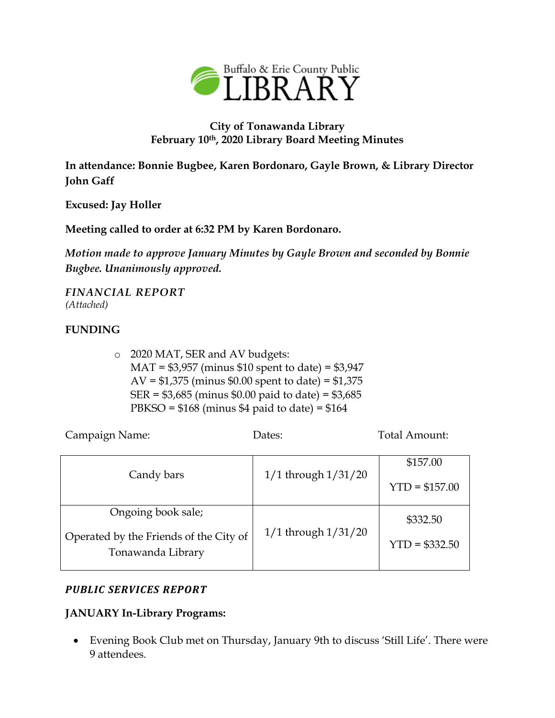

## **City of Tonawanda Library February 10th, 2020 Library Board Meeting Minutes**

**In attendance: Bonnie Bugbee, Karen Bordonaro, Gayle Brown, & Library Director John Gaff**

**Excused: Jay Holler**

**Meeting called to order at 6:32 PM by Karen Bordonaro.**

*Motion made to approve January Minutes by Gayle Brown and seconded by Bonnie Bugbee. Unanimously approved.*

*FINANCIAL REPORT (Attached)*

## **FUNDING**

o 2020 MAT, SER and AV budgets: MAT = \$3,957 (minus \$10 spent to date) = \$3,947 AV =  $$1,375$  (minus  $$0.00$  spent to date) =  $$1,375$ SER = \$3,685 (minus \$0.00 paid to date) = \$3,685 PBKSO =  $$168$  (minus \$4 paid to date) =  $$164$ 

|                                                             |                         | \$157.00        |
|-------------------------------------------------------------|-------------------------|-----------------|
| Candy bars                                                  | $1/1$ through $1/31/20$ | $YTD = $157.00$ |
| Ongoing book sale;                                          |                         |                 |
|                                                             | $1/1$ through $1/31/20$ | \$332.50        |
| Operated by the Friends of the City of<br>Tonawanda Library |                         | $YTD = $332.50$ |
|                                                             |                         |                 |

Campaign Name: Dates: Dates: Total Amount:

### *PUBLIC SERVICES REPORT*

#### **JANUARY In-Library Programs:**

 Evening Book Club met on Thursday, January 9th to discuss 'Still Life'. There were 9 attendees.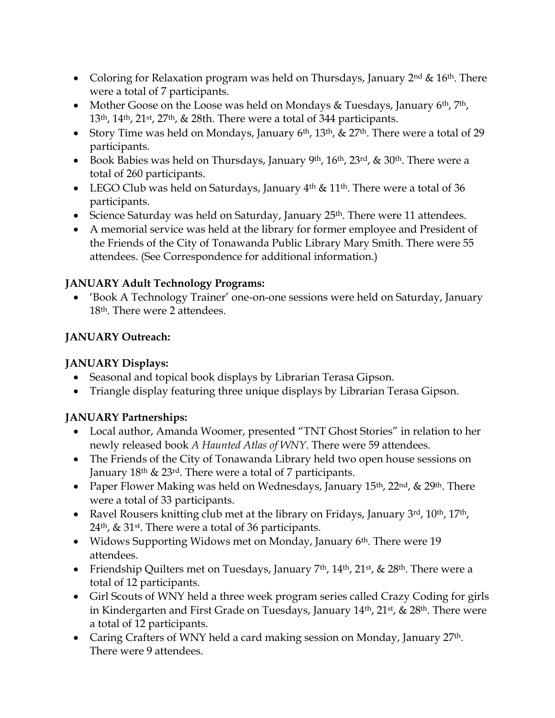- Coloring for Relaxation program was held on Thursdays, January  $2^{nd}$  &  $16^{th}$ . There were a total of 7 participants.
- Mother Goose on the Loose was held on Mondays & Tuesdays, January  $6<sup>th</sup>$ ,  $7<sup>th</sup>$ , 13th, 14th, 21st, 27th, & 28th. There were a total of 344 participants.
- Story Time was held on Mondays, January  $6<sup>th</sup>$ ,  $13<sup>th</sup>$ ,  $\&$  27<sup>th</sup>. There were a total of 29 participants.
- Book Babies was held on Thursdays, January 9<sup>th</sup>, 16<sup>th</sup>, 23<sup>rd</sup>, & 30<sup>th</sup>. There were a total of 260 participants.
- LEGO Club was held on Saturdays, January  $4<sup>th</sup>$  & 11<sup>th</sup>. There were a total of 36 participants.
- Science Saturday was held on Saturday, January 25<sup>th</sup>. There were 11 attendees.
- A memorial service was held at the library for former employee and President of the Friends of the City of Tonawanda Public Library Mary Smith. There were 55 attendees. (See Correspondence for additional information.)

## **JANUARY Adult Technology Programs:**

 'Book A Technology Trainer' one-on-one sessions were held on Saturday, January 18th. There were 2 attendees.

# **JANUARY Outreach:**

# **JANUARY Displays:**

- Seasonal and topical book displays by Librarian Terasa Gipson.
- Triangle display featuring three unique displays by Librarian Terasa Gipson.

# **JANUARY Partnerships:**

- Local author, Amanda Woomer, presented "TNT Ghost Stories" in relation to her newly released book *A Haunted Atlas of WNY*. There were 59 attendees.
- The Friends of the City of Tonawanda Library held two open house sessions on January 18th & 23rd. There were a total of 7 participants.
- Paper Flower Making was held on Wednesdays, January  $15<sup>th</sup>$ ,  $22<sup>nd</sup>$ ,  $\&$   $29<sup>th</sup>$ . There were a total of 33 participants.
- Ravel Rousers knitting club met at the library on Fridays, January  $3^{rd}$ ,  $10^{th}$ ,  $17^{th}$ ,  $24<sup>th</sup>$ , & 31<sup>st</sup>. There were a total of 36 participants.
- Widows Supporting Widows met on Monday, January  $6<sup>th</sup>$ . There were 19 attendees.
- Friendship Quilters met on Tuesdays, January  $7<sup>th</sup>$ ,  $14<sup>th</sup>$ ,  $21<sup>st</sup>$ ,  $\&$   $28<sup>th</sup>$ . There were a total of 12 participants.
- Girl Scouts of WNY held a three week program series called Crazy Coding for girls in Kindergarten and First Grade on Tuesdays, January 14<sup>th</sup>, 21<sup>st</sup>, & 28<sup>th</sup>. There were a total of 12 participants.
- Caring Crafters of WNY held a card making session on Monday, January 27<sup>th</sup>. There were 9 attendees.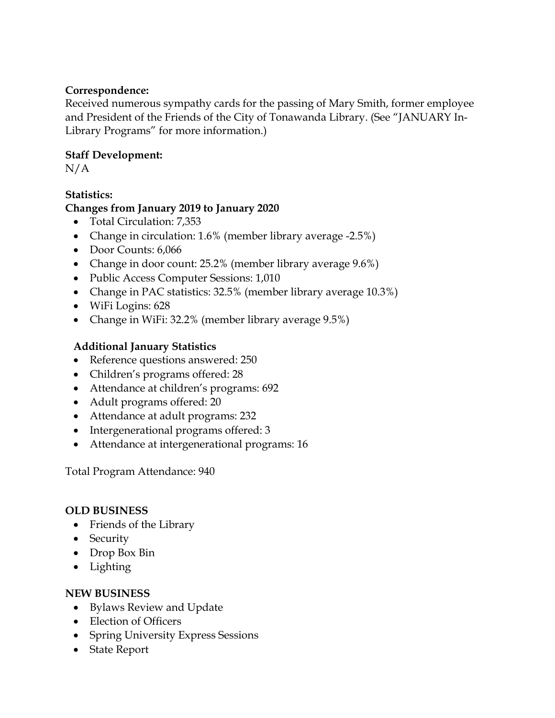### **Correspondence:**

Received numerous sympathy cards for the passing of Mary Smith, former employee and President of the Friends of the City of Tonawanda Library. (See "JANUARY In-Library Programs" for more information.)

## **Staff Development:**

 $N/A$ 

# **Statistics:**

## **Changes from January 2019 to January 2020**

- Total Circulation: 7,353
- Change in circulation: 1.6% (member library average -2.5%)
- Door Counts: 6,066
- Change in door count: 25.2% (member library average 9.6%)
- Public Access Computer Sessions: 1,010
- Change in PAC statistics: 32.5% (member library average 10.3%)
- WiFi Logins: 628
- Change in WiFi: 32.2% (member library average 9.5%)

## **Additional January Statistics**

- Reference questions answered: 250
- Children's programs offered: 28
- Attendance at children's programs: 692
- Adult programs offered: 20
- Attendance at adult programs: 232
- Intergenerational programs offered: 3
- Attendance at intergenerational programs: 16

Total Program Attendance: 940

### **OLD BUSINESS**

- Friends of the Library
- Security
- Drop Box Bin
- Lighting

### **NEW BUSINESS**

- Bylaws Review and Update
- Election of Officers
- Spring University Express Sessions
- State Report